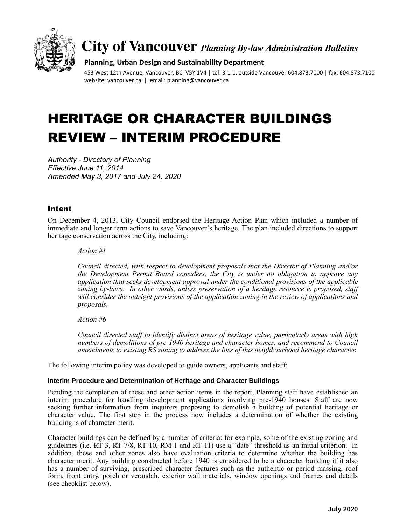

# **City of Vancouver** *Planning By-law Administration Bulletins*

#### **Planning, Urban Design and Sustainability Department**

453 West 12th Avenue, Vancouver, BC V5Y 1V4 | tel: 3-1-1, outside Vancouver 604.873.7000 | fax: 604.873.7100 website: vancouver.ca | email: planning@vancouver.ca

# HERITAGE OR CHARACTER BUILDINGS REVIEW – INTERIM PROCEDURE

*Authority - Directory of Planning Effective June 11, 2014 Amended May 3, 2017 and July 24, 2020*

## Intent

On December 4, 2013, City Council endorsed the Heritage Action Plan which included a number of immediate and longer term actions to save Vancouver's heritage. The plan included directions to support heritage conservation across the City, including:

*Action #1*

*Council directed, with respect to development proposals that the Director of Planning and/or the Development Permit Board considers, the City is under no obligation to approve any application that seeks development approval under the conditional provisions of the applicable zoning by-laws. In other words, unless preservation of a heritage resource is proposed, staff will consider the outright provisions of the application zoning in the review of applications and proposals.* 

*Action #6*

*Council directed staff to identify distinct areas of heritage value, particularly areas with high numbers of demolitions of pre-1940 heritage and character homes, and recommend to Council amendments to existing RS zoning to address the loss of this neighbourhood heritage character.* 

The following interim policy was developed to guide owners, applicants and staff:

#### **Interim Procedure and Determination of Heritage and Character Buildings**

Pending the completion of these and other action items in the report, Planning staff have established an interim procedure for handling development applications involving pre-1940 houses. Staff are now seeking further information from inquirers proposing to demolish a building of potential heritage or character value. The first step in the process now includes a determination of whether the existing building is of character merit.

Character buildings can be defined by a number of criteria: for example, some of the existing zoning and guidelines (i.e. RT-3, RT-7/8, RT-10, RM-1 and RT-11) use a "date" threshold as an initial criterion. In addition, these and other zones also have evaluation criteria to determine whether the building has character merit. Any building constructed before 1940 is considered to be a character building if it also has a number of surviving, prescribed character features such as the authentic or period massing, roof form, front entry, porch or verandah, exterior wall materials, window openings and frames and details (see checklist below).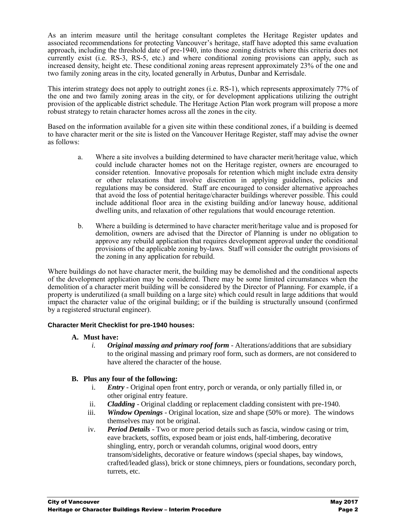As an interim measure until the heritage consultant completes the Heritage Register updates and associated recommendations for protecting Vancouver's heritage, staff have adopted this same evaluation approach, including the threshold date of pre-1940, into those zoning districts where this criteria does not currently exist (i.e. RS-3, RS-5, etc.) and where conditional zoning provisions can apply, such as increased density, height etc. These conditional zoning areas represent approximately 23% of the one and two family zoning areas in the city, located generally in Arbutus, Dunbar and Kerrisdale.

This interim strategy does not apply to outright zones (i.e. RS-1), which represents approximately 77% of the one and two family zoning areas in the city, or for development applications utilizing the outright provision of the applicable district schedule. The Heritage Action Plan work program will propose a more robust strategy to retain character homes across all the zones in the city.

Based on the information available for a given site within these conditional zones, if a building is deemed to have character merit or the site is listed on the Vancouver Heritage Register, staff may advise the owner as follows:

- a. Where a site involves a building determined to have character merit/heritage value, which could include character homes not on the Heritage register, owners are encouraged to consider retention. Innovative proposals for retention which might include extra density or other relaxations that involve discretion in applying guidelines, policies and regulations may be considered. Staff are encouraged to consider alternative approaches that avoid the loss of potential heritage/character buildings wherever possible. This could include additional floor area in the existing building and/or laneway house, additional dwelling units, and relaxation of other regulations that would encourage retention.
- b. Where a building is determined to have character merit/heritage value and is proposed for demolition, owners are advised that the Director of Planning is under no obligation to approve any rebuild application that requires development approval under the conditional provisions of the applicable zoning by-laws. Staff will consider the outright provisions of the zoning in any application for rebuild.

Where buildings do not have character merit, the building may be demolished and the conditional aspects of the development application may be considered. There may be some limited circumstances when the demolition of a character merit building will be considered by the Director of Planning. For example, if a property is underutilized (a small building on a large site) which could result in large additions that would impact the character value of the original building; or if the building is structurally unsound (confirmed by a registered structural engineer).

#### **Character Merit Checklist for pre-1940 houses:**

# **A. Must have:**

*i. Original massing and primary roof form* - Alterations/additions that are subsidiary to the original massing and primary roof form, such as dormers, are not considered to have altered the character of the house.

# **B. Plus any four of the following:**

- i. *Entry* Original open front entry, porch or veranda, or only partially filled in, or other original entry feature.
- ii. *Cladding* Original cladding or replacement cladding consistent with pre-1940.
- iii. *Window Openings* Original location, size and shape (50% or more). The windows themselves may not be original.
- iv. *Period Details* Two or more period details such as fascia, window casing or trim, eave brackets, soffits, exposed beam or joist ends, half-timbering, decorative shingling, entry, porch or verandah columns, original wood doors, entry transom/sidelights, decorative or feature windows (special shapes, bay windows, crafted/leaded glass), brick or stone chimneys, piers or foundations, secondary porch, turrets, etc.